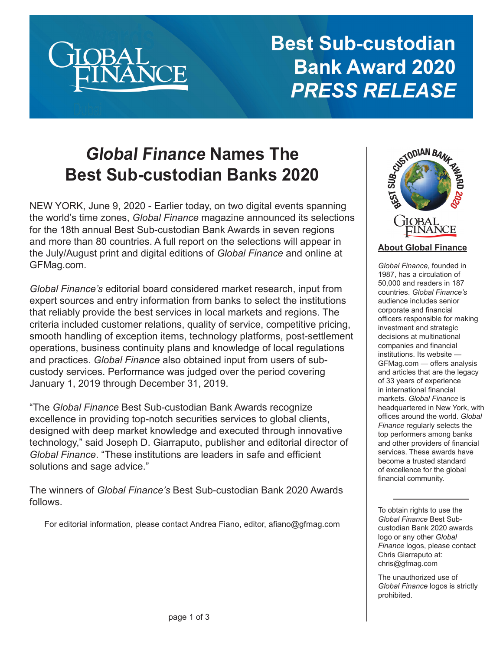

# **Best Sub-custodian Bank Award 2020 PRESS RELEASE**

### **Global Finance Names The Best Sub-custodian Banks 2020**

NEW YORK, June 9, 2020 - Earlier today, on two digital events spanning the world's time zones, *Global Finance* magazine announced its selections for the 18th annual Best Sub-custodian Bank Awards in seven regions and more than 80 countries. A full report on the selections will appear in the July/August print and digital editions of *Global Finance* and online at GFMag.com.

*Global Finance's* editorial board considered market research, input from expert sources and entry information from banks to select the institutions that reliably provide the best services in local markets and regions. The criteria included customer relations, quality of service, competitive pricing, smooth handling of exception items, technology platforms, post-settlement operations, business continuity plans and knowledge of local regulations and practices. *Global Finance* also obtained input from users of subcustody services. Performance was judged over the period covering January 1, 2019 through December 31, 2019.

"The *Global Finance* Best Sub-custodian Bank Awards recognize excellence in providing top-notch securities services to global clients, designed with deep market knowledge and executed through innovative technology," said Joseph D. Giarraputo, publisher and editorial director of *Global Finance*. "These institutions are leaders in safe and efficient solutions and sage advice."

The winners of *Global Finance's* Best Sub-custodian Bank 2020 Awards follows.

For editorial information, please contact Andrea Fiano, editor, afiano@gfmag.com



*Global Finance*, founded in 1987, has a circulation of 50,000 and readers in 187 countries. *Global Finance's* audience includes senior corporate and financial officers responsible for making investment and strategic decisions at multinational companies and financial institutions. Its website — GFMag.com — offers analysis and articles that are the legacy of 33 years of experience in international financial markets. *Global Finance* is headquartered in New York, with offices around the world. *Global Finance* regularly selects the top performers among banks and other providers of financial services. These awards have become a trusted standard of excellence for the global financial community.

The unauthorized use of *Global Finance* logos is strictly prohibited.

To obtain rights to use the *Global Finance* Best Subcustodian Bank 2020 awards logo or any other *Global Finance* logos, please contact Chris Giarraputo at: chris@gfmag.com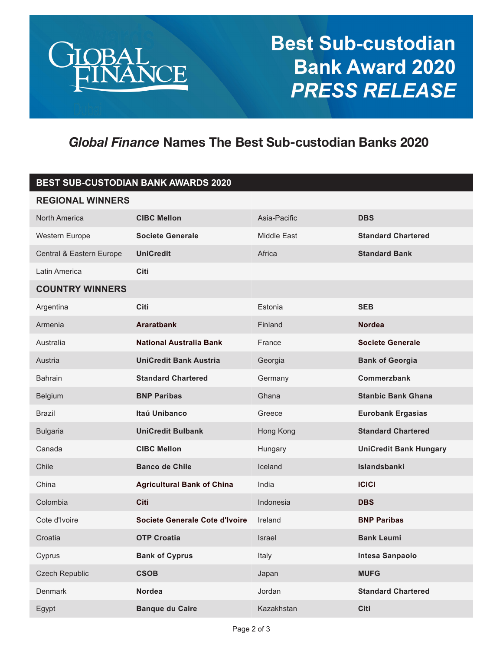

## **Best Sub-custodian Bank Award 2020 PRESS RELEASE**

#### *Global Finance* **Names The Best Sub-custodian Banks 2020**

#### **BEST SUB-CUSTODIAN BANK AWARDS 2020**

| <b>REGIONAL WINNERS</b>  |                                   |               |                               |  |
|--------------------------|-----------------------------------|---------------|-------------------------------|--|
| <b>North America</b>     | <b>CIBC Mellon</b>                | Asia-Pacific  | <b>DBS</b>                    |  |
| Western Europe           | <b>Societe Generale</b>           | Middle East   | <b>Standard Chartered</b>     |  |
| Central & Eastern Europe | <b>UniCredit</b>                  | Africa        | <b>Standard Bank</b>          |  |
| Latin America            | Citi                              |               |                               |  |
| <b>COUNTRY WINNERS</b>   |                                   |               |                               |  |
| Argentina                | Citi                              | Estonia       | <b>SEB</b>                    |  |
| Armenia                  | <b>Araratbank</b>                 | Finland       | <b>Nordea</b>                 |  |
| Australia                | <b>National Australia Bank</b>    | France        | <b>Societe Generale</b>       |  |
| Austria                  | <b>UniCredit Bank Austria</b>     | Georgia       | <b>Bank of Georgia</b>        |  |
| <b>Bahrain</b>           | <b>Standard Chartered</b>         | Germany       | Commerzbank                   |  |
| Belgium                  | <b>BNP Paribas</b>                | Ghana         | <b>Stanbic Bank Ghana</b>     |  |
| <b>Brazil</b>            | Itaú Unibanco                     | Greece        | <b>Eurobank Ergasias</b>      |  |
| <b>Bulgaria</b>          | <b>UniCredit Bulbank</b>          | Hong Kong     | <b>Standard Chartered</b>     |  |
| Canada                   | <b>CIBC Mellon</b>                | Hungary       | <b>UniCredit Bank Hungary</b> |  |
| Chile                    | <b>Banco de Chile</b>             | Iceland       | <b>Islandsbanki</b>           |  |
| China                    | <b>Agricultural Bank of China</b> | India         | <b>ICICI</b>                  |  |
| Colombia                 | <b>Citi</b>                       | Indonesia     | <b>DBS</b>                    |  |
| Cote d'Ivoire            | Societe Generale Cote d'Ivoire    | Ireland       | <b>BNP Paribas</b>            |  |
| Croatia                  | <b>OTP Croatia</b>                | <b>Israel</b> | <b>Bank Leumi</b>             |  |
| Cyprus                   | <b>Bank of Cyprus</b>             | <b>Italy</b>  | Intesa Sanpaolo               |  |
| Czech Republic           | <b>CSOB</b>                       | Japan         | <b>MUFG</b>                   |  |
| <b>Denmark</b>           | <b>Nordea</b>                     | Jordan        | <b>Standard Chartered</b>     |  |
| Egypt                    | <b>Banque du Caire</b>            | Kazakhstan    | <b>Citi</b>                   |  |